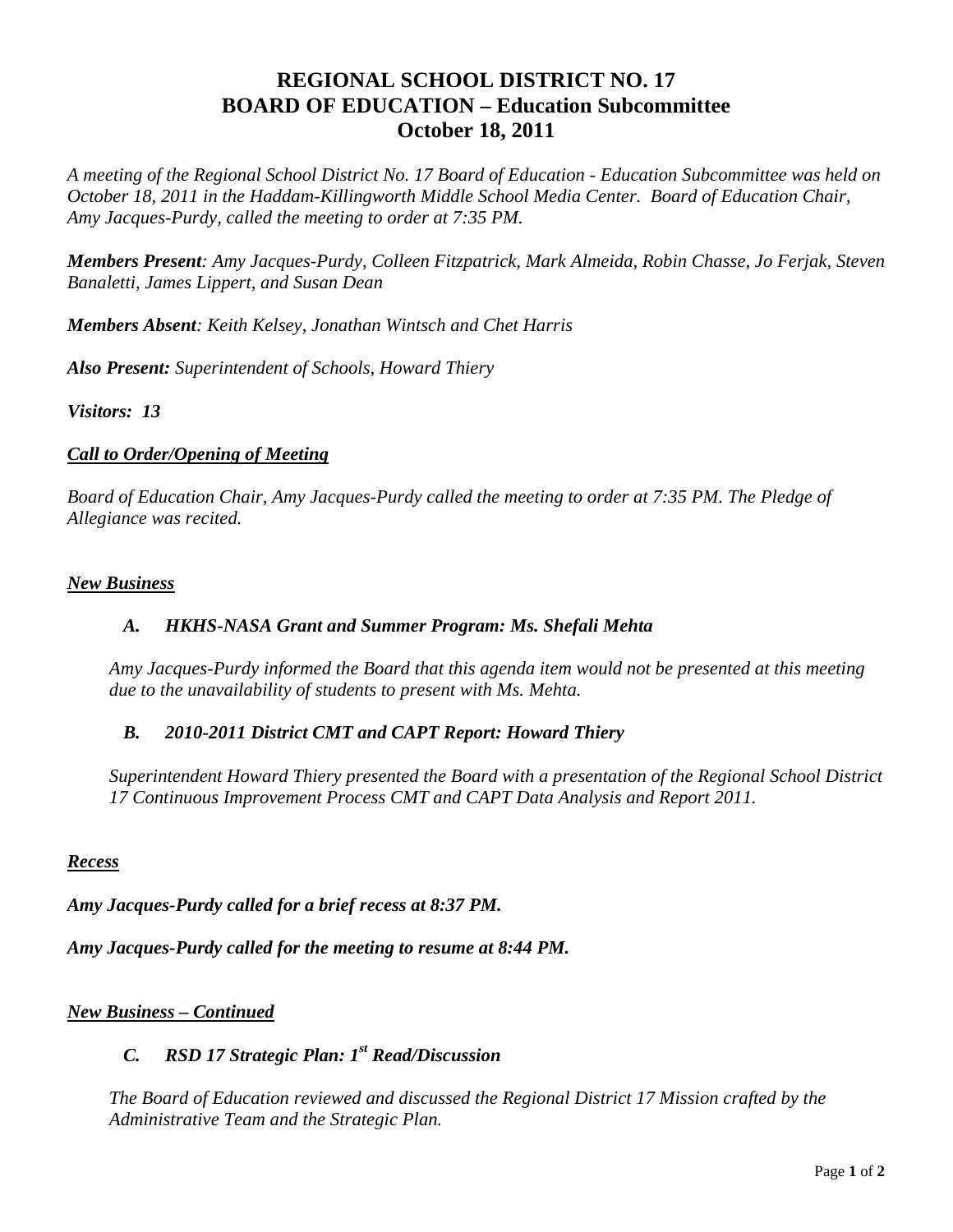# **REGIONAL SCHOOL DISTRICT NO. 17 BOARD OF EDUCATION – Education Subcommittee October 18, 2011**

*A meeting of the Regional School District No. 17 Board of Education - Education Subcommittee was held on October 18, 2011 in the Haddam-Killingworth Middle School Media Center. Board of Education Chair, Amy Jacques-Purdy, called the meeting to order at 7:35 PM.* 

*Members Present: Amy Jacques-Purdy, Colleen Fitzpatrick, Mark Almeida, Robin Chasse, Jo Ferjak, Steven Banaletti, James Lippert, and Susan Dean* 

*Members Absent: Keith Kelsey, Jonathan Wintsch and Chet Harris* 

*Also Present: Superintendent of Schools, Howard Thiery* 

*Visitors: 13*

### *Call to Order/Opening of Meeting*

*Board of Education Chair, Amy Jacques-Purdy called the meeting to order at 7:35 PM. The Pledge of Allegiance was recited.* 

#### *New Business*

### *A. HKHS-NASA Grant and Summer Program: Ms. Shefali Mehta*

*Amy Jacques-Purdy informed the Board that this agenda item would not be presented at this meeting due to the unavailability of students to present with Ms. Mehta.* 

### *B. 2010-2011 District CMT and CAPT Report: Howard Thiery*

*Superintendent Howard Thiery presented the Board with a presentation of the Regional School District 17 Continuous Improvement Process CMT and CAPT Data Analysis and Report 2011.* 

#### *Recess*

*Amy Jacques-Purdy called for a brief recess at 8:37 PM.* 

*Amy Jacques-Purdy called for the meeting to resume at 8:44 PM.* 

### *New Business – Continued*

## *C. RSD 17 Strategic Plan: 1st Read/Discussion*

*The Board of Education reviewed and discussed the Regional District 17 Mission crafted by the Administrative Team and the Strategic Plan.*